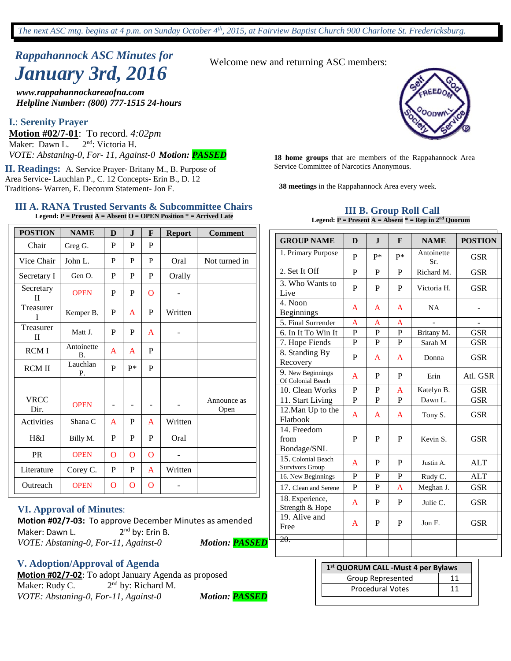# *Rappahannock ASC Minutes for January 3rd, 2016* Welcome new and returning ASC members:

*www.rappahannockareaofna.com Helpline Number: (800) 777-1515 24-hours*

#### **I.**: **Serenity Prayer**

**Motion #02/7-01**: To record. 4:02pm<br>Maker: Dawn L. 2<sup>nd</sup>: Victoria H. Maker: Dawn L. *VOTE: Abstaning-0, For- 11, Against-0 Motion: PASSED* **<sup>18</sup> home groups** that are members of the Rappahannock Area

II. Readings: A. Service Prayer- Britany M., B. Purpose of Service Committee of Narcotics Anonymous. Area Service- Lauchlan P., C. 12 Concepts- Erin B., D. 12 Traditions- Warren, E. Decorum Statement- Jon F. **38 meetings** in the Rappahannock Area every week.

#### **III A. RANA Trusted Servants & Subcommittee Chairs Legend: P = Present A = Absent O = OPEN Position \* = Arrived Late**

| <b>POSTION</b>            | <b>NAME</b>             | D              | $\mathbf J$    | F              | <b>Report</b> | <b>Comment</b>      |
|---------------------------|-------------------------|----------------|----------------|----------------|---------------|---------------------|
| Chair                     | Greg G.                 | P              | P              | P              |               |                     |
| Vice Chair                | John L.                 | P              | P              | P              | Oral          | Not turned in       |
| Secretary I               | Gen O.                  | P              | P              | P              | Orally        |                     |
| Secretary<br>$\mathbf{I}$ | <b>OPEN</b>             | P              | P              | $\Omega$       |               |                     |
| Treasurer<br>Ī            | Kemper B.               | P              | A              | P              | Written       |                     |
| Treasurer<br>$\mathbf{I}$ | Matt J.                 | P              | P              | $\mathbf{A}$   |               |                     |
| <b>RCMI</b>               | Antoinette<br><b>B.</b> | A              | A              | P              |               |                     |
| <b>RCM II</b>             | Lauchlan<br>P.          | P              | p*             | P              |               |                     |
|                           |                         |                |                |                |               |                     |
| <b>VRCC</b><br>Dir.       | <b>OPEN</b>             |                | -              |                |               | Announce as<br>Open |
| Activities                | Shana C                 | A              | P              | A              | Written       |                     |
| H&I                       | Billy M.                | P              | P              | P              | Oral          |                     |
| <b>PR</b>                 | <b>OPEN</b>             | $\overline{O}$ | $\overline{O}$ | $\overline{O}$ |               |                     |
| Literature                | Corey C.                | P              | P              | A              | Written       |                     |
| Outreach                  | <b>OPEN</b>             | $\overline{O}$ | $\mathbf O$    | $\overline{O}$ |               |                     |

#### **VI. Approval of Minutes**:

**Motion #02/7-03:** To approve December Minutes as amended Maker: Dawn L. 2<sup>nd</sup> by: Erin B. *VOTE: Abstaning-0, For-11, Against-0 Motion: PASSED*

## **V. Adoption/Approval of Agenda**

**Motion #02/7-02**: To adopt January Agenda as proposed Maker: Rudy C.  $2<sup>nd</sup>$  by: Richard M. *VOTE: Abstaning-0, For-11, Against-0 Motion: PASSED*



#### **III B. Group Roll Call Legend: P = Present A = Absent \* = Rep in 2nd Quorum**

| <b>GROUP NAME</b>                      | D              | $\mathbf{J}$   | F              | <b>NAME</b>       | <b>POSTION</b> |
|----------------------------------------|----------------|----------------|----------------|-------------------|----------------|
| 1. Primary Purpose                     | P              | P*             | p*             | Antoinette<br>Sr. | <b>GSR</b>     |
| 2. Set It Off                          | P              | P              | P              | Richard M.        | <b>GSR</b>     |
| 3. Who Wants to<br>Live                | P              | P              | P              | Victoria H.       | <b>GSR</b>     |
| 4. Noon<br><b>Beginnings</b>           | A              | A              | A              | <b>NA</b>         |                |
| 5. Final Surrender                     | A              | A              | A              |                   |                |
| 6. In It To Win It                     | $\overline{P}$ | $\overline{P}$ | $\overline{P}$ | Britany M.        | <b>GSR</b>     |
| 7. Hope Fiends                         | $\mathbf{P}$   | $\mathbf{P}$   | P              | Sarah M           | <b>GSR</b>     |
| 8. Standing By<br>Recovery             | P              | A              | A              | Donna             | <b>GSR</b>     |
| 9. New Beginnings<br>Of Colonial Beach | A              | P              | P              | Erin              | Atl. GSR       |
| 10. Clean Works                        | P              | P              | A              | Katelyn B.        | <b>GSR</b>     |
| 11. Start Living                       | P              | P              | P              | Dawn L.           | <b>GSR</b>     |
| 12. Man Up to the<br>Flatbook          | A              | A              | A              | Tony S.           | <b>GSR</b>     |
| 14. Freedom<br>from<br>Bondage/SNL     | P              | P              | P              | Kevin S.          | <b>GSR</b>     |
| 15. Colonial Beach<br>Survivors Group  | A              | P              | P              | Justin A.         | <b>ALT</b>     |
| 16. New Beginnings                     | P              | P              | P              | Rudy C.           | <b>ALT</b>     |
| 17. Clean and Serene                   | P              | P              | A              | Meghan J.         | <b>GSR</b>     |
| 18. Experience,<br>Strength & Hope     | A              | P              | P              | Julie C.          | <b>GSR</b>     |
| 19. Alive and<br>Free                  | A              | P              | P              | Jon F.            | <b>GSR</b>     |
| <del>20.</del>                         |                |                |                |                   |                |

| 1 <sup>st</sup> QUORUM CALL -Must 4 per Bylaws |    |  |  |  |  |
|------------------------------------------------|----|--|--|--|--|
| Group Represented                              | 11 |  |  |  |  |
| <b>Procedural Votes</b>                        | 11 |  |  |  |  |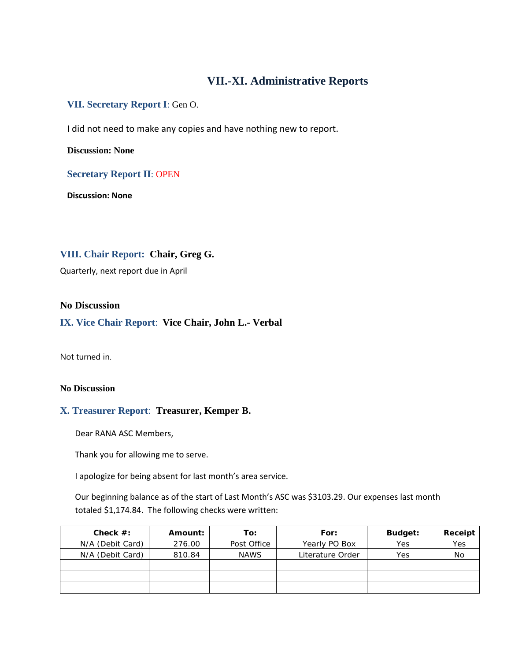# **VII.-XI. Administrative Reports**

## **VII. Secretary Report I**: Gen O.

I did not need to make any copies and have nothing new to report.

**Discussion: None**

### **Secretary Report II**: OPEN

**Discussion: None**

## **VIII. Chair Report: Chair, Greg G.**

Quarterly, next report due in April

#### **No Discussion**

#### **IX. Vice Chair Report**: **Vice Chair, John L.- Verbal**

Not turned in.

#### **No Discussion**

#### **X. Treasurer Report**: **Treasurer, Kemper B.**

Dear RANA ASC Members,

Thank you for allowing me to serve.

I apologize for being absent for last month's area service.

Our beginning balance as of the start of Last Month's ASC was \$3103.29. Our expenses last month totaled \$1,174.84. The following checks were written:

| Check $#$ :      | Amount: | To:         | For:             | Budget: | Receipt |
|------------------|---------|-------------|------------------|---------|---------|
| N/A (Debit Card) | 276.00  | Post Office | Yearly PO Box    | Yes     | Yes     |
| N/A (Debit Card) | 810.84  | <b>NAWS</b> | Literature Order | Yes     | No      |
|                  |         |             |                  |         |         |
|                  |         |             |                  |         |         |
|                  |         |             |                  |         |         |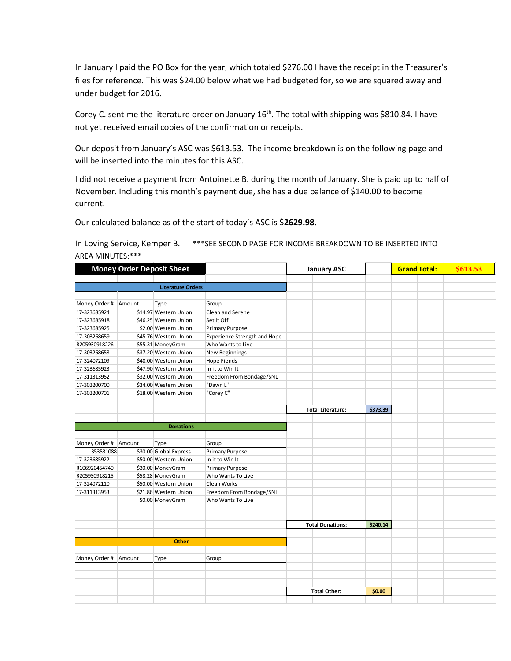In January I paid the PO Box for the year, which totaled \$276.00 I have the receipt in the Treasurer's files for reference. This was \$24.00 below what we had budgeted for, so we are squared away and under budget for 2016.

Corey C. sent me the literature order on January 16<sup>th</sup>. The total with shipping was \$810.84. I have not yet received email copies of the confirmation or receipts.

Our deposit from January's ASC was \$613.53. The income breakdown is on the following page and will be inserted into the minutes for this ASC.

I did not receive a payment from Antoinette B. during the month of January. She is paid up to half of November. Including this month's payment due, she has a due balance of \$140.00 to become current.

Our calculated balance as of the start of today's ASC is \$**2629.98.**

#### In Loving Service, Kemper B. \*\*\*SEE SECOND PAGE FOR INCOME BREAKDOWN TO BE INSERTED INTO AREA MINUTES:\*\*\*

|                      |        | <b>Money Order Deposit Sheet</b> |                                     | <b>January ASC</b>       |          | <b>Grand Total:</b> | \$613.53 |  |
|----------------------|--------|----------------------------------|-------------------------------------|--------------------------|----------|---------------------|----------|--|
|                      |        |                                  |                                     |                          |          |                     |          |  |
|                      |        | <b>Literature Orders</b>         |                                     |                          |          |                     |          |  |
| Money Order # Amount |        | Type                             | Group                               |                          |          |                     |          |  |
| 17-323685924         |        | \$14.97 Western Union            | Clean and Serene                    |                          |          |                     |          |  |
| 17-323685918         |        | \$46.25 Western Union            | Set it Off                          |                          |          |                     |          |  |
| 17-323685925         |        | \$2.00 Western Union             | <b>Primary Purpose</b>              |                          |          |                     |          |  |
| 17-303268659         |        | \$45.76 Western Union            | <b>Experience Strength and Hope</b> |                          |          |                     |          |  |
| R205930918226        |        | \$55.31 MoneyGram                | Who Wants to Live                   |                          |          |                     |          |  |
| 17-303268658         |        | \$37.20 Western Union            | New Beginnings                      |                          |          |                     |          |  |
| 17-324072109         |        | \$40.00 Western Union            | <b>Hope Fiends</b>                  |                          |          |                     |          |  |
| 17-323685923         |        | \$47.90 Western Union            | In it to Win It                     |                          |          |                     |          |  |
| 17-311313952         |        | \$32.00 Western Union            | Freedom From Bondage/SNL            |                          |          |                     |          |  |
| 17-303200700         |        | \$34.00 Western Union            | "Dawn L"                            |                          |          |                     |          |  |
| 17-303200701         |        | \$18.00 Western Union            | "Corey C"                           |                          |          |                     |          |  |
|                      |        |                                  |                                     |                          |          |                     |          |  |
|                      |        |                                  |                                     | <b>Total Literature:</b> | \$373.39 |                     |          |  |
|                      |        |                                  |                                     |                          |          |                     |          |  |
|                      |        | <b>Donations</b>                 |                                     |                          |          |                     |          |  |
|                      |        |                                  |                                     |                          |          |                     |          |  |
| Money Order # Amount |        | Type                             | Group                               |                          |          |                     |          |  |
| 353531088            |        | \$30.00 Global Express           | <b>Primary Purpose</b>              |                          |          |                     |          |  |
| 17-323685922         |        | \$50.00 Western Union            | In it to Win It                     |                          |          |                     |          |  |
| R106920454740        |        | \$30.00 MoneyGram                | <b>Primary Purpose</b>              |                          |          |                     |          |  |
| R205930918215        |        | \$58.28 MoneyGram                | Who Wants To Live                   |                          |          |                     |          |  |
| 17-324072110         |        | \$50.00 Western Union            | Clean Works                         |                          |          |                     |          |  |
| 17-311313953         |        | \$21.86 Western Union            | Freedom From Bondage/SNL            |                          |          |                     |          |  |
|                      |        | \$0.00 MoneyGram                 | Who Wants To Live                   |                          |          |                     |          |  |
|                      |        |                                  |                                     |                          |          |                     |          |  |
|                      |        |                                  |                                     | <b>Total Donations:</b>  | \$240.14 |                     |          |  |
|                      |        |                                  |                                     |                          |          |                     |          |  |
|                      |        | <b>Other</b>                     |                                     |                          |          |                     |          |  |
|                      |        |                                  |                                     |                          |          |                     |          |  |
| Money Order #        | Amount | Type                             | Group                               |                          |          |                     |          |  |
|                      |        |                                  |                                     |                          |          |                     |          |  |
|                      |        |                                  |                                     |                          |          |                     |          |  |
|                      |        |                                  |                                     |                          |          |                     |          |  |
|                      |        |                                  |                                     | <b>Total Other:</b>      | \$0.00   |                     |          |  |
|                      |        |                                  |                                     |                          |          |                     |          |  |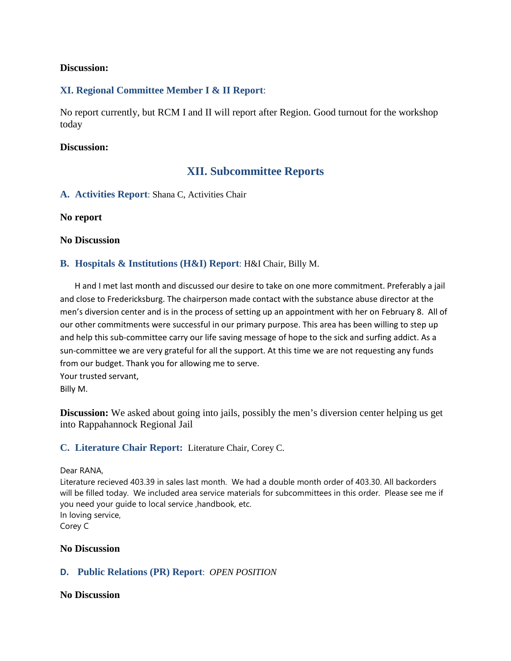### **Discussion:**

## **XI. Regional Committee Member I & II Report**:

No report currently, but RCM I and II will report after Region. Good turnout for the workshop today

### **Discussion:**

# **XII. Subcommittee Reports**

**A. Activities Report**: Shana C, Activities Chair

**No report** 

#### **No Discussion**

### **B. Hospitals & Institutions (H&I) Report**: H&I Chair, Billy M.

 H and I met last month and discussed our desire to take on one more commitment. Preferably a jail and close to Fredericksburg. The chairperson made contact with the substance abuse director at the men's diversion center and is in the process of setting up an appointment with her on February 8. All of our other commitments were successful in our primary purpose. This area has been willing to step up and help this sub-committee carry our life saving message of hope to the sick and surfing addict. As a sun-committee we are very grateful for all the support. At this time we are not requesting any funds from our budget. Thank you for allowing me to serve. Your trusted servant,

Billy M.

**Discussion:** We asked about going into jails, possibly the men's diversion center helping us get into Rappahannock Regional Jail

#### **C. Literature Chair Report:** Literature Chair, Corey C.

Dear RANA,

Literature recieved 403.39 in sales last month. We had a double month order of 403.30. All backorders will be filled today. We included area service materials for subcommittees in this order. Please see me if you need your guide to local service ,handbook, etc. In loving service, Corey C

#### **No Discussion**

## **D. Public Relations (PR) Report**: *OPEN POSITION*

#### **No Discussion**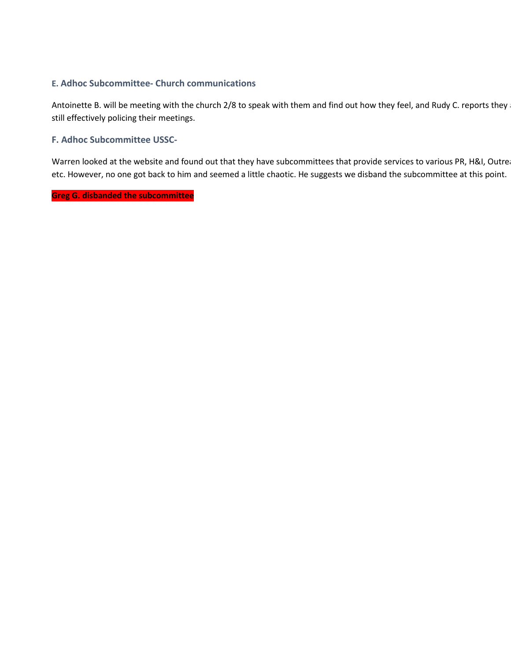## **E. Adhoc Subcommittee- Church communications**

Antoinette B. will be meeting with the church 2/8 to speak with them and find out how they feel, and Rudy C. reports they and still effectively policing their meetings.

### **F. Adhoc Subcommittee USSC-**

Warren looked at the website and found out that they have subcommittees that provide services to various PR, H&I, Outre etc. However, no one got back to him and seemed a little chaotic. He suggests we disband the subcommittee at this point.

## **Greg G. disbanded the subcommittee**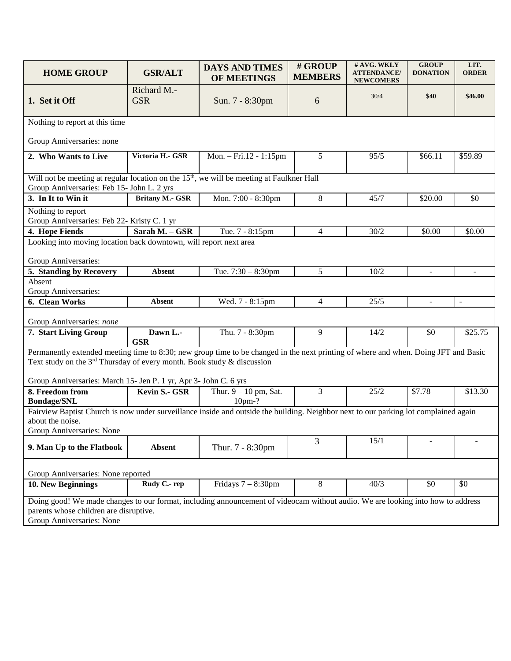| <b>HOME GROUP</b>                                                                                                                                                                     | <b>GSR/ALT</b>                         | <b>DAYS AND TIMES</b><br>OF MEETINGS | # GROUP<br><b>MEMBERS</b> | # AVG. WKLY<br><b>ATTENDANCE/</b><br><b>NEWCOMERS</b> | <b>GROUP</b><br><b>DONATION</b> | LIT.<br><b>ORDER</b> |  |  |  |
|---------------------------------------------------------------------------------------------------------------------------------------------------------------------------------------|----------------------------------------|--------------------------------------|---------------------------|-------------------------------------------------------|---------------------------------|----------------------|--|--|--|
| 1. Set it Off                                                                                                                                                                         | Richard M.-<br><b>GSR</b>              | Sun. 7 - 8:30pm                      | 6                         | 30/4                                                  | \$40                            | \$46.00              |  |  |  |
| Nothing to report at this time                                                                                                                                                        |                                        |                                      |                           |                                                       |                                 |                      |  |  |  |
| Group Anniversaries: none                                                                                                                                                             |                                        |                                      |                           |                                                       |                                 |                      |  |  |  |
| 2. Who Wants to Live                                                                                                                                                                  | Victoria H.- GSR                       | Mon. $-$ Fri.12 - 1:15pm             | 5                         | 95/5                                                  | \$66.11                         | \$59.89              |  |  |  |
| Will not be meeting at regular location on the 15 <sup>th</sup> , we will be meeting at Faulkner Hall<br>Group Anniversaries: Feb 15- John L. 2 yrs                                   |                                        |                                      |                           |                                                       |                                 |                      |  |  |  |
| 3. In It to Win it                                                                                                                                                                    | <b>Britany M.- GSR</b>                 | Mon. 7:00 - 8:30pm                   | 8                         | 45/7                                                  | \$20.00                         | \$0                  |  |  |  |
| Nothing to report<br>Group Anniversaries: Feb 22- Kristy C. 1 yr                                                                                                                      |                                        |                                      |                           |                                                       |                                 |                      |  |  |  |
| 4. Hope Fiends                                                                                                                                                                        | Sarah M. - GSR                         | Tue. 7 - 8:15pm                      | $\overline{4}$            | 30/2                                                  | \$0.00                          | \$0.00               |  |  |  |
| Looking into moving location back downtown, will report next area<br>Group Anniversaries:                                                                                             |                                        |                                      |                           |                                                       |                                 |                      |  |  |  |
| 5. Standing by Recovery                                                                                                                                                               | <b>Absent</b>                          | Tue. $7:30 - 8:30$ pm                | 5                         | 10/2                                                  | $\blacksquare$                  | $\blacksquare$       |  |  |  |
| Absent<br>Group Anniversaries:                                                                                                                                                        |                                        |                                      |                           |                                                       |                                 |                      |  |  |  |
| 6. Clean Works                                                                                                                                                                        | <b>Absent</b>                          | Wed. 7 - 8:15pm                      | $\overline{4}$            | 25/5                                                  | $\omega$                        | $\equiv$             |  |  |  |
| Group Anniversaries: none                                                                                                                                                             |                                        |                                      |                           |                                                       |                                 |                      |  |  |  |
| 7. Start Living Group                                                                                                                                                                 | Dawn L.-<br><b>GSR</b>                 | Thu. 7 - 8:30pm                      | 9                         | 14/2                                                  | \$0                             | \$25.75              |  |  |  |
| Permanently extended meeting time to 8:30; new group time to be changed in the next printing of where and when. Doing JFT and Basic                                                   |                                        |                                      |                           |                                                       |                                 |                      |  |  |  |
| Text study on the $3^{rd}$ Thursday of every month. Book study & discussion                                                                                                           |                                        |                                      |                           |                                                       |                                 |                      |  |  |  |
| Group Anniversaries: March 15- Jen P. 1 yr, Apr 3- John C. 6 yrs<br>8. Freedom from                                                                                                   | Kevin S.- GSR                          | Thur. $9 - 10$ pm, Sat.              | 3                         | 25/2                                                  | \$7.78                          | \$13.30              |  |  |  |
| <b>Bondage/SNL</b>                                                                                                                                                                    |                                        | $10pm-?$                             |                           |                                                       |                                 |                      |  |  |  |
| Fairview Baptist Church is now under surveillance inside and outside the building. Neighbor next to our parking lot complained again<br>about the noise.<br>Group Anniversaries: None |                                        |                                      |                           |                                                       |                                 |                      |  |  |  |
| 9. Man Up to the Flatbook                                                                                                                                                             | <b>Absent</b>                          | Thur. 7 - 8:30pm                     | $\overline{3}$            | 15/1                                                  | $\overline{\phantom{0}}$        |                      |  |  |  |
| Group Anniversaries: None reported                                                                                                                                                    |                                        |                                      |                           |                                                       |                                 |                      |  |  |  |
| 10. New Beginnings                                                                                                                                                                    | Rudy C .- rep                          | Fridays $7 - 8:30$ pm                | 8                         | 40/3                                                  | \$0                             | \$0                  |  |  |  |
| Doing good! We made changes to our format, including announcement of videocam without audio. We are looking into how to address                                                       |                                        |                                      |                           |                                                       |                                 |                      |  |  |  |
| Group Anniversaries: None                                                                                                                                                             | parents whose children are disruptive. |                                      |                           |                                                       |                                 |                      |  |  |  |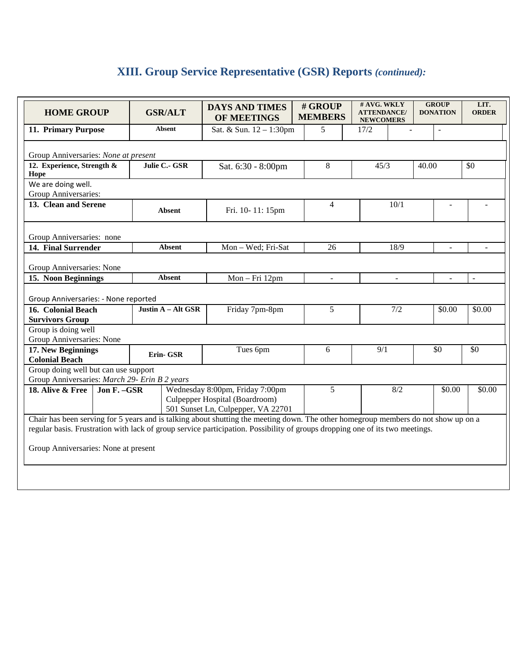# **XIII. Group Service Representative (GSR) Reports** *(continued):*

| <b>HOME GROUP</b>                                                                                                                                                                                                                                                                                                                                |  | <b>GSR/ALT</b>     | <b>DAYS AND TIMES</b><br>OF MEETINGS | # GROUP<br><b>MEMBERS</b> | # AVG. WKLY<br><b>ATTENDANCE/</b><br><b>NEWCOMERS</b> |  | <b>GROUP</b><br><b>DONATION</b> | LIT.<br><b>ORDER</b> |
|--------------------------------------------------------------------------------------------------------------------------------------------------------------------------------------------------------------------------------------------------------------------------------------------------------------------------------------------------|--|--------------------|--------------------------------------|---------------------------|-------------------------------------------------------|--|---------------------------------|----------------------|
| 11. Primary Purpose                                                                                                                                                                                                                                                                                                                              |  | <b>Absent</b>      | Sat. & Sun. 12 - 1:30pm              | 5                         | 17/2                                                  |  | $\overline{a}$                  |                      |
| Group Anniversaries: None at present                                                                                                                                                                                                                                                                                                             |  |                    |                                      |                           |                                                       |  |                                 |                      |
| 12. Experience, Strength &<br>Hope                                                                                                                                                                                                                                                                                                               |  | Julie C.- GSR      | Sat. 6:30 - 8:00pm                   | 8                         | 45/3                                                  |  | 40.00                           | \$0                  |
| We are doing well.<br>Group Anniversaries:                                                                                                                                                                                                                                                                                                       |  |                    |                                      |                           |                                                       |  |                                 |                      |
| 13. Clean and Serene                                                                                                                                                                                                                                                                                                                             |  | <b>Absent</b>      | Fri. 10-11: 15pm                     | $\overline{4}$            | 10/1                                                  |  |                                 |                      |
| Group Anniversaries: none                                                                                                                                                                                                                                                                                                                        |  |                    |                                      |                           |                                                       |  |                                 |                      |
| 14. Final Surrender                                                                                                                                                                                                                                                                                                                              |  | <b>Absent</b>      | Mon - Wed; Fri-Sat                   | 26                        | 18/9                                                  |  | ÷,                              | $\overline{a}$       |
| Group Anniversaries: None                                                                                                                                                                                                                                                                                                                        |  |                    |                                      |                           |                                                       |  |                                 |                      |
| 15. Noon Beginnings                                                                                                                                                                                                                                                                                                                              |  | <b>Absent</b>      | Mon-Fri 12pm                         | $\equiv$                  | $\overline{\phantom{a}}$                              |  | $\overline{\phantom{a}}$        | $\bar{\phantom{a}}$  |
| Group Anniversaries: - None reported                                                                                                                                                                                                                                                                                                             |  |                    |                                      |                           |                                                       |  |                                 |                      |
| 16. Colonial Beach                                                                                                                                                                                                                                                                                                                               |  | Justin A - Alt GSR | Friday 7pm-8pm                       | 5                         | 7/2                                                   |  | \$0.00                          | \$0.00               |
| <b>Survivors Group</b><br>Group is doing well                                                                                                                                                                                                                                                                                                    |  |                    |                                      |                           |                                                       |  |                                 |                      |
| Group Anniversaries: None                                                                                                                                                                                                                                                                                                                        |  |                    |                                      |                           |                                                       |  |                                 |                      |
| 17. New Beginnings<br><b>Colonial Beach</b>                                                                                                                                                                                                                                                                                                      |  | Erin- GSR          | Tues 6pm                             | 6                         | 9/1                                                   |  | \$0                             | \$0                  |
| Group doing well but can use support<br>Group Anniversaries: March 29- Erin B 2 years                                                                                                                                                                                                                                                            |  |                    |                                      |                           |                                                       |  |                                 |                      |
| 18. Alive & Free<br>Jon F. - GSR                                                                                                                                                                                                                                                                                                                 |  |                    | Wednesday 8:00pm, Friday 7:00pm      | 5                         | 8/2                                                   |  | \$0.00                          | \$0.00               |
|                                                                                                                                                                                                                                                                                                                                                  |  |                    | Culpepper Hospital (Boardroom)       |                           |                                                       |  |                                 |                      |
| 501 Sunset Ln, Culpepper, VA 22701<br>Chair has been serving for 5 years and is talking about shutting the meeting down. The other homegroup members do not show up on a<br>regular basis. Frustration with lack of group service participation. Possibility of groups dropping one of its two meetings.<br>Group Anniversaries: None at present |  |                    |                                      |                           |                                                       |  |                                 |                      |
|                                                                                                                                                                                                                                                                                                                                                  |  |                    |                                      |                           |                                                       |  |                                 |                      |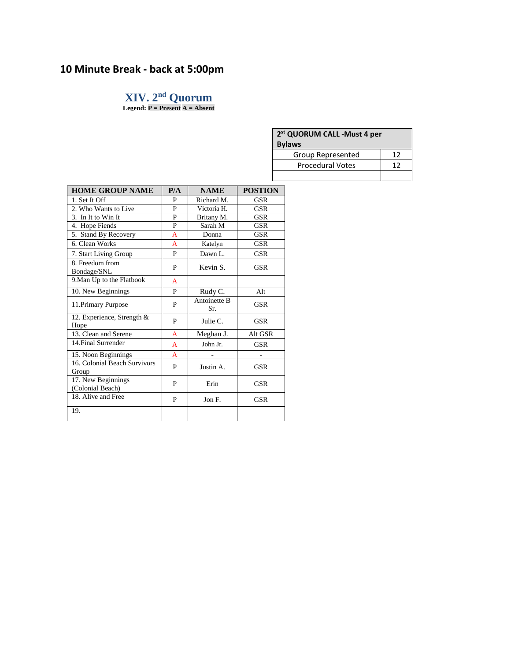# **10 Minute Break - back at 5:00pm**

# **XIV. 2nd Quorum**

**Legend: P = Present A = Absent**

| 2 <sup>st</sup> QUORUM CALL -Must 4 per<br><b>Bylaws</b> |    |  |  |  |  |
|----------------------------------------------------------|----|--|--|--|--|
| Group Represented                                        | 12 |  |  |  |  |
| <b>Procedural Votes</b>                                  | 12 |  |  |  |  |
|                                                          |    |  |  |  |  |

| <b>HOME GROUP NAME</b>                 | P/A            | <b>NAME</b>                | <b>POSTION</b> |
|----------------------------------------|----------------|----------------------------|----------------|
| 1. Set It Off                          | P              | Richard M.                 | GSR            |
| 2. Who Wants to Live                   | P              | Victoria H.                | GSR            |
| 3. In It to Win It                     | P              | Britany M.                 | <b>GSR</b>     |
| 4. Hope Fiends                         | P              | Sarah M                    | <b>GSR</b>     |
| 5. Stand By Recovery                   | A              | Donna                      | <b>GSR</b>     |
| 6. Clean Works                         | $\overline{A}$ | Katelyn                    | <b>GSR</b>     |
| 7. Start Living Group                  | P              | Dawn L.                    | <b>GSR</b>     |
| 8. Freedom from<br>Bondage/SNL         | P              | Kevin S.                   | <b>GSR</b>     |
| 9. Man Up to the Flatbook              | A              |                            |                |
| 10. New Beginnings                     | P              | Rudy C.                    | Alt            |
| 11. Primary Purpose                    | P              | <b>Antoinette B</b><br>Sr. | <b>GSR</b>     |
| 12. Experience, Strength &<br>Hope     | P              | Julie C.                   | <b>GSR</b>     |
| 13. Clean and Serene                   | A              | Meghan J.                  | Alt GSR        |
| 14. Final Surrender                    | A              | John Jr.                   | <b>GSR</b>     |
| 15. Noon Beginnings                    | A              |                            |                |
| 16. Colonial Beach Survivors<br>Group  | P              | Justin A.                  | <b>GSR</b>     |
| 17. New Beginnings<br>(Colonial Beach) | P              | Erin                       | <b>GSR</b>     |
| 18. Alive and Free                     | P              | Jon F.                     | <b>GSR</b>     |
| 19.                                    |                |                            |                |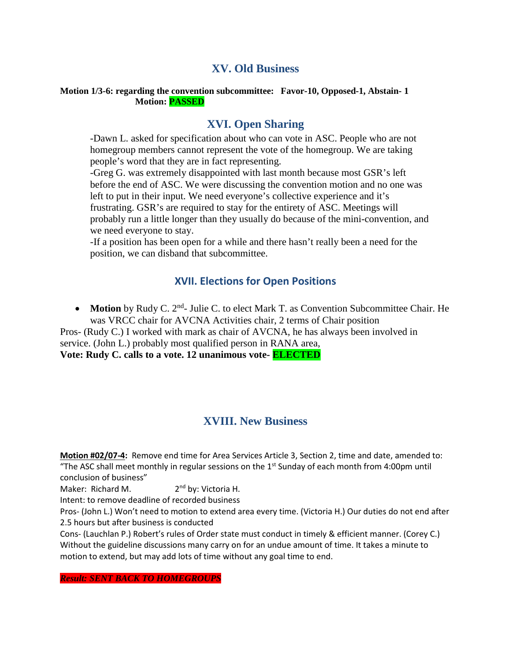# **XV. Old Business**

#### **Motion 1/3-6: regarding the convention subcommittee: Favor-10, Opposed-1, Abstain- 1 Motion: PASSED**

# **XVI. Open Sharing**

-Dawn L. asked for specification about who can vote in ASC. People who are not homegroup members cannot represent the vote of the homegroup. We are taking people's word that they are in fact representing.

-Greg G. was extremely disappointed with last month because most GSR's left before the end of ASC. We were discussing the convention motion and no one was left to put in their input. We need everyone's collective experience and it's frustrating. GSR's are required to stay for the entirety of ASC. Meetings will probably run a little longer than they usually do because of the mini-convention, and we need everyone to stay.

-If a position has been open for a while and there hasn't really been a need for the position, we can disband that subcommittee.

# **XVII. Elections for Open Positions**

• Motion by Rudy C. 2<sup>nd</sup>- Julie C. to elect Mark T. as Convention Subcommittee Chair. He was VRCC chair for AVCNA Activities chair, 2 terms of Chair position

Pros- (Rudy C.) I worked with mark as chair of AVCNA, he has always been involved in service. (John L.) probably most qualified person in RANA area,

**Vote: Rudy C. calls to a vote. 12 unanimous vote- ELECTED**

# **XVIII. New Business**

**Motion #02/07-4:** Remove end time for Area Services Article 3, Section 2, time and date, amended to: "The ASC shall meet monthly in regular sessions on the  $1<sup>st</sup>$  Sunday of each month from 4:00pm until conclusion of business"

Maker: Richard M. 2<sup>nd</sup> by: Victoria H.

Intent: to remove deadline of recorded business

Pros- (John L.) Won't need to motion to extend area every time. (Victoria H.) Our duties do not end after 2.5 hours but after business is conducted

Cons- (Lauchlan P.) Robert's rules of Order state must conduct in timely & efficient manner. (Corey C.) Without the guideline discussions many carry on for an undue amount of time. It takes a minute to motion to extend, but may add lots of time without any goal time to end.

*Result: SENT BACK TO HOMEGROUPS*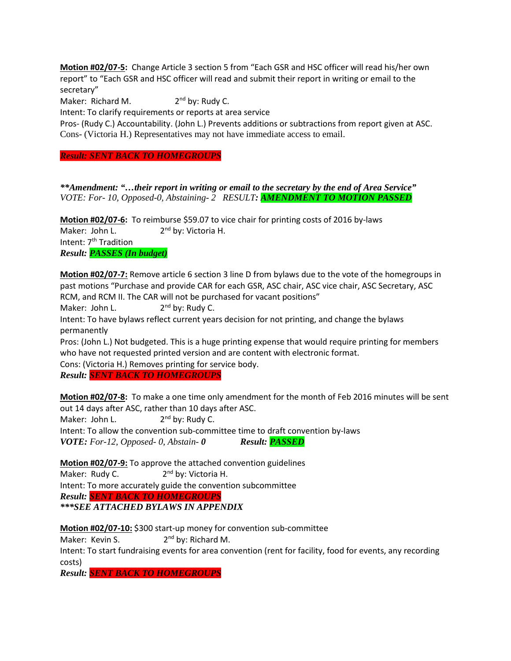**Motion #02/07-5:** Change Article 3 section 5 from "Each GSR and HSC officer will read his/her own report" to "Each GSR and HSC officer will read and submit their report in writing or email to the secretary"

Maker: Richard M.  $2<sup>nd</sup>$  by: Rudy C.

Intent: To clarify requirements or reports at area service

Pros- (Rudy C.) Accountability. (John L.) Prevents additions or subtractions from report given at ASC. Cons- (Victoria H.) Representatives may not have immediate access to email.

*Result: SENT BACK TO HOMEGROUPS*

*\*\*Amendment: "…their report in writing or email to the secretary by the end of Area Service" VOTE: For- 10, Opposed-0, Abstaining- 2 RESULT: AMENDMENT TO MOTION PASSED*

**Motion #02/07-6:** To reimburse \$59.07 to vice chair for printing costs of 2016 by-laws Maker: John L. 2<sup>nd</sup> by: Victoria H. Intent: 7<sup>th</sup> Tradition *Result: PASSES (In budget)*

**Motion #02/07-7:** Remove article 6 section 3 line D from bylaws due to the vote of the homegroups in past motions "Purchase and provide CAR for each GSR, ASC chair, ASC vice chair, ASC Secretary, ASC RCM, and RCM II. The CAR will not be purchased for vacant positions"

Maker: John L.  $2<sup>nd</sup>$  by: Rudy C.

Intent: To have bylaws reflect current years decision for not printing, and change the bylaws permanently

Pros: (John L.) Not budgeted. This is a huge printing expense that would require printing for members who have not requested printed version and are content with electronic format.

Cons: (Victoria H.) Removes printing for service body.

*Result: SENT BACK TO HOMEGROUPS*

**Motion #02/07-8:** To make a one time only amendment for the month of Feb 2016 minutes will be sent out 14 days after ASC, rather than 10 days after ASC. Maker: John L. 2<sup>nd</sup> by: Rudy C. Intent: To allow the convention sub-committee time to draft convention by-laws *VOTE: For-12, Opposed- 0, Abstain- 0 Result: PASSED*

**Motion #02/07-9:** To approve the attached convention guidelines Maker: Rudy C. 2<sup>nd</sup> by: Victoria H. Intent: To more accurately guide the convention subcommittee *Result: SENT BACK TO HOMEGROUPS*

#### *\*\*\*SEE ATTACHED BYLAWS IN APPENDIX*

**Motion #02/07-10:** \$300 start-up money for convention sub-committee

Maker: Kevin S.  $2<sup>nd</sup>$  by: Richard M.

Intent: To start fundraising events for area convention (rent for facility, food for events, any recording costs)

*Result: SENT BACK TO HOMEGROUPS*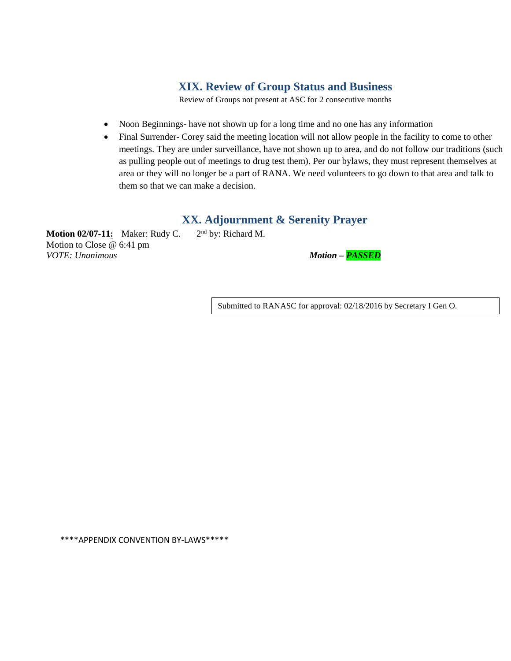# **XIX. Review of Group Status and Business**

Review of Groups not present at ASC for 2 consecutive months

- Noon Beginnings- have not shown up for a long time and no one has any information
- Final Surrender- Corey said the meeting location will not allow people in the facility to come to other meetings. They are under surveillance, have not shown up to area, and do not follow our traditions (such as pulling people out of meetings to drug test them). Per our bylaws, they must represent themselves at area or they will no longer be a part of RANA. We need volunteers to go down to that area and talk to them so that we can make a decision.

# **XX. Adjournment & Serenity Prayer**

**Motion 02/07-11:** Maker: Rudy C. 2<sup>nd</sup> by: Richard M. Motion to Close @ 6:41 pm *VOTE: Unanimous Motion – PASSED*

Submitted to RANASC for approval: 02/18/2016 by Secretary I Gen O.

\*\*\*\*APPENDIX CONVENTION BY-LAWS\*\*\*\*\*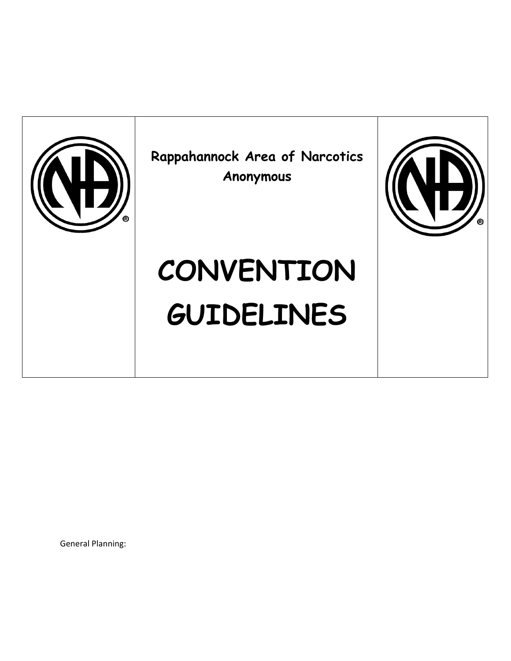

General Planning: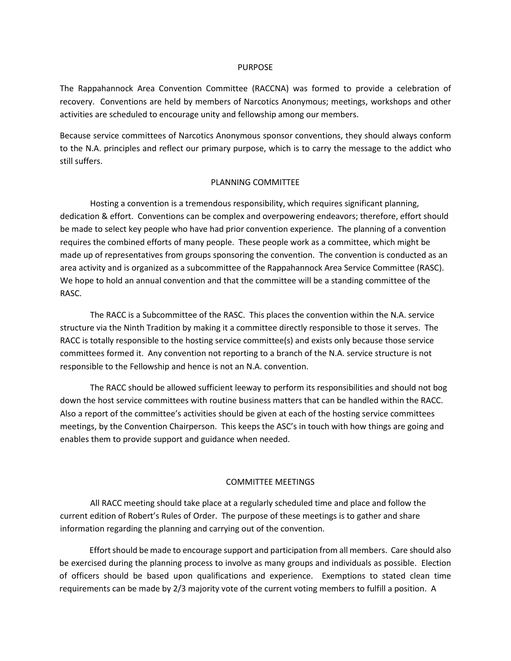#### PURPOSE

The Rappahannock Area Convention Committee (RACCNA) was formed to provide a celebration of recovery. Conventions are held by members of Narcotics Anonymous; meetings, workshops and other activities are scheduled to encourage unity and fellowship among our members.

Because service committees of Narcotics Anonymous sponsor conventions, they should always conform to the N.A. principles and reflect our primary purpose, which is to carry the message to the addict who still suffers.

#### PLANNING COMMITTEE

Hosting a convention is a tremendous responsibility, which requires significant planning, dedication & effort. Conventions can be complex and overpowering endeavors; therefore, effort should be made to select key people who have had prior convention experience. The planning of a convention requires the combined efforts of many people. These people work as a committee, which might be made up of representatives from groups sponsoring the convention. The convention is conducted as an area activity and is organized as a subcommittee of the Rappahannock Area Service Committee (RASC). We hope to hold an annual convention and that the committee will be a standing committee of the RASC.

The RACC is a Subcommittee of the RASC. This places the convention within the N.A. service structure via the Ninth Tradition by making it a committee directly responsible to those it serves. The RACC is totally responsible to the hosting service committee(s) and exists only because those service committees formed it. Any convention not reporting to a branch of the N.A. service structure is not responsible to the Fellowship and hence is not an N.A. convention.

The RACC should be allowed sufficient leeway to perform its responsibilities and should not bog down the host service committees with routine business matters that can be handled within the RACC. Also a report of the committee's activities should be given at each of the hosting service committees meetings, by the Convention Chairperson. This keeps the ASC's in touch with how things are going and enables them to provide support and guidance when needed.

#### COMMITTEE MEETINGS

All RACC meeting should take place at a regularly scheduled time and place and follow the current edition of Robert's Rules of Order. The purpose of these meetings is to gather and share information regarding the planning and carrying out of the convention.

Effort should be made to encourage support and participation from all members. Care should also be exercised during the planning process to involve as many groups and individuals as possible. Election of officers should be based upon qualifications and experience. Exemptions to stated clean time requirements can be made by 2/3 majority vote of the current voting members to fulfill a position. A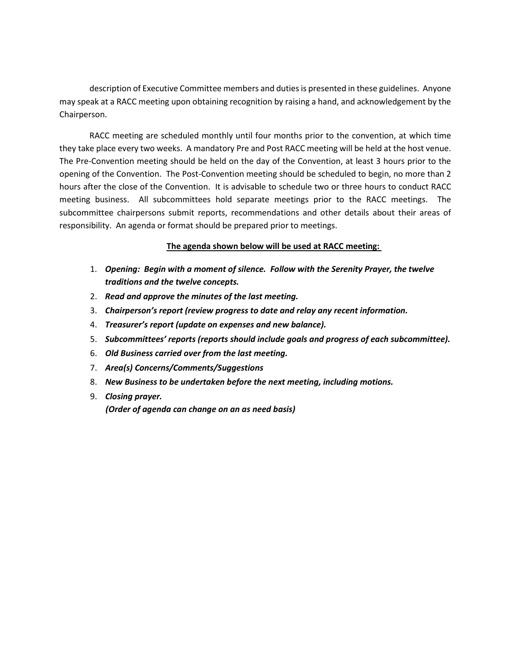description of Executive Committee members and duties is presented in these guidelines. Anyone may speak at a RACC meeting upon obtaining recognition by raising a hand, and acknowledgement by the Chairperson.

RACC meeting are scheduled monthly until four months prior to the convention, at which time they take place every two weeks. A mandatory Pre and Post RACC meeting will be held at the host venue. The Pre-Convention meeting should be held on the day of the Convention, at least 3 hours prior to the opening of the Convention. The Post-Convention meeting should be scheduled to begin, no more than 2 hours after the close of the Convention. It is advisable to schedule two or three hours to conduct RACC meeting business. All subcommittees hold separate meetings prior to the RACC meetings. The subcommittee chairpersons submit reports, recommendations and other details about their areas of responsibility. An agenda or format should be prepared prior to meetings.

### **The agenda shown below will be used at RACC meeting:**

- 1. *Opening: Begin with a moment of silence. Follow with the Serenity Prayer, the twelve traditions and the twelve concepts.*
- 2. *Read and approve the minutes of the last meeting.*
- 3. *Chairperson's report (review progress to date and relay any recent information.*
- 4. *Treasurer's report (update on expenses and new balance).*
- 5. *Subcommittees' reports (reports should include goals and progress of each subcommittee).*
- 6. *Old Business carried over from the last meeting.*
- 7. *Area(s) Concerns/Comments/Suggestions*
- 8. *New Business to be undertaken before the next meeting, including motions.*
- 9. *Closing prayer. (Order of agenda can change on an as need basis)*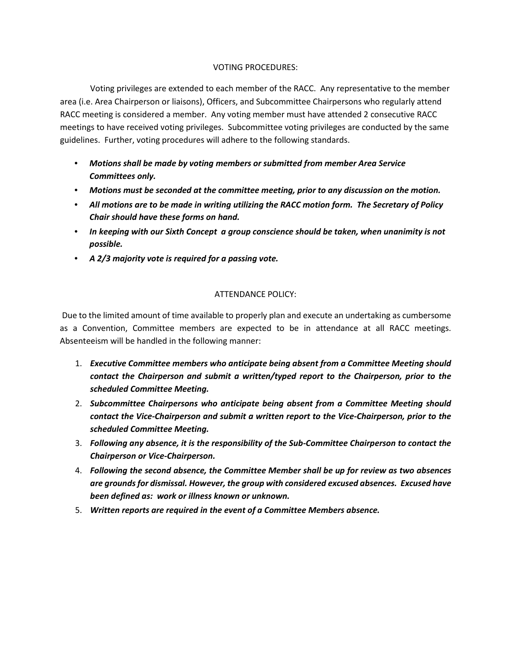#### VOTING PROCEDURES:

Voting privileges are extended to each member of the RACC. Any representative to the member area (i.e. Area Chairperson or liaisons), Officers, and Subcommittee Chairpersons who regularly attend RACC meeting is considered a member. Any voting member must have attended 2 consecutive RACC meetings to have received voting privileges. Subcommittee voting privileges are conducted by the same guidelines. Further, voting procedures will adhere to the following standards.

- *Motions shall be made by voting members or submitted from member Area Service Committees only.*
- *Motions must be seconded at the committee meeting, prior to any discussion on the motion.*
- *All motions are to be made in writing utilizing the RACC motion form. The Secretary of Policy Chair should have these forms on hand.*
- *In keeping with our Sixth Concept a group conscience should be taken, when unanimity is not possible.*
- *A 2/3 majority vote is required for a passing vote.*

## ATTENDANCE POLICY:

Due to the limited amount of time available to properly plan and execute an undertaking as cumbersome as a Convention, Committee members are expected to be in attendance at all RACC meetings. Absenteeism will be handled in the following manner:

- 1. *Executive Committee members who anticipate being absent from a Committee Meeting should contact the Chairperson and submit a written/typed report to the Chairperson, prior to the scheduled Committee Meeting.*
- 2. *Subcommittee Chairpersons who anticipate being absent from a Committee Meeting should contact the Vice-Chairperson and submit a written report to the Vice-Chairperson, prior to the scheduled Committee Meeting.*
- 3. *Following any absence, it is the responsibility of the Sub-Committee Chairperson to contact the Chairperson or Vice-Chairperson.*
- 4. *Following the second absence, the Committee Member shall be up for review as two absences are grounds for dismissal. However, the group with considered excused absences. Excused have been defined as: work or illness known or unknown.*
- 5. *Written reports are required in the event of a Committee Members absence.*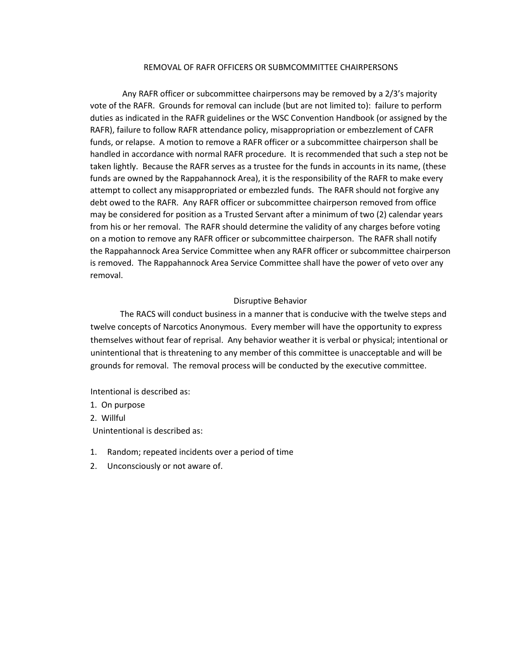#### REMOVAL OF RAFR OFFICERS OR SUBMCOMMITTEE CHAIRPERSONS

Any RAFR officer or subcommittee chairpersons may be removed by a 2/3's majority vote of the RAFR. Grounds for removal can include (but are not limited to): failure to perform duties as indicated in the RAFR guidelines or the WSC Convention Handbook (or assigned by the RAFR), failure to follow RAFR attendance policy, misappropriation or embezzlement of CAFR funds, or relapse. A motion to remove a RAFR officer or a subcommittee chairperson shall be handled in accordance with normal RAFR procedure. It is recommended that such a step not be taken lightly. Because the RAFR serves as a trustee for the funds in accounts in its name, (these funds are owned by the Rappahannock Area), it is the responsibility of the RAFR to make every attempt to collect any misappropriated or embezzled funds. The RAFR should not forgive any debt owed to the RAFR. Any RAFR officer or subcommittee chairperson removed from office may be considered for position as a Trusted Servant after a minimum of two (2) calendar years from his or her removal. The RAFR should determine the validity of any charges before voting on a motion to remove any RAFR officer or subcommittee chairperson. The RAFR shall notify the Rappahannock Area Service Committee when any RAFR officer or subcommittee chairperson is removed. The Rappahannock Area Service Committee shall have the power of veto over any removal.

#### Disruptive Behavior

The RACS will conduct business in a manner that is conducive with the twelve steps and twelve concepts of Narcotics Anonymous. Every member will have the opportunity to express themselves without fear of reprisal. Any behavior weather it is verbal or physical; intentional or unintentional that is threatening to any member of this committee is unacceptable and will be grounds for removal. The removal process will be conducted by the executive committee.

Intentional is described as:

- 1. On purpose
- 2. Willful

Unintentional is described as:

- 1. Random; repeated incidents over a period of time
- 2. Unconsciously or not aware of.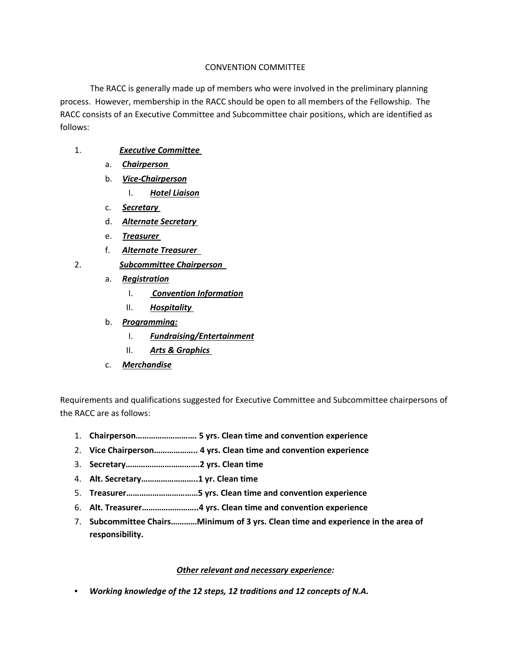## CONVENTION COMMITTEE

The RACC is generally made up of members who were involved in the preliminary planning process. However, membership in the RACC should be open to all members of the Fellowship. The RACC consists of an Executive Committee and Subcommittee chair positions, which are identified as follows:

- 1. *Executive Committee* 
	- a. *Chairperson*
	- b. *Vice-Chairperson*
		- I. *Hotel Liaison*
	- c. *Secretary*
	- d. *Alternate Secretary*
	- e. *Treasurer*
	- f. *Alternate Treasurer*
- 2. *Subcommittee Chairperson* 
	- a. *Registration*
		- I. *Convention Information*
		- II. *Hospitality*
	- b. *Programming:*
		- I. *Fundraising/Entertainment*
		- II. *Arts & Graphics*
	- c. *Merchandise*

Requirements and qualifications suggested for Executive Committee and Subcommittee chairpersons of the RACC are as follows:

- 1. **Chairperson………………………. 5 yrs. Clean time and convention experience**
- 2. **Vice Chairperson……………….. 4 yrs. Clean time and convention experience**
- 3. **Secretary…………………………….2 yrs. Clean time**
- 4. **Alt. Secretary……………………..1 yr. Clean time**
- 5. **Treasurer……………………………5 yrs. Clean time and convention experience**
- 6. **Alt. Treasurer……………………..4 yrs. Clean time and convention experience**
- 7. **Subcommittee Chairs…………Minimum of 3 yrs. Clean time and experience in the area of responsibility.**

#### *Other relevant and necessary experience:*

• *Working knowledge of the 12 steps, 12 traditions and 12 concepts of N.A.*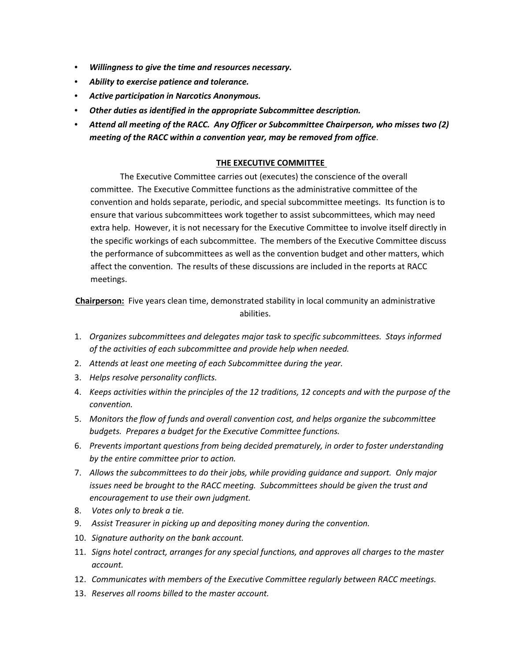- *Willingness to give the time and resources necessary.*
- *Ability to exercise patience and tolerance.*
- *Active participation in Narcotics Anonymous.*
- *Other duties as identified in the appropriate Subcommittee description.*
- *Attend all meeting of the RACC. Any Officer or Subcommittee Chairperson, who misses two (2) meeting of the RACC within a convention year, may be removed from office*.

### **THE EXECUTIVE COMMITTEE**

The Executive Committee carries out (executes) the conscience of the overall committee. The Executive Committee functions as the administrative committee of the convention and holds separate, periodic, and special subcommittee meetings. Its function is to ensure that various subcommittees work together to assist subcommittees, which may need extra help. However, it is not necessary for the Executive Committee to involve itself directly in the specific workings of each subcommittee. The members of the Executive Committee discuss the performance of subcommittees as well as the convention budget and other matters, which affect the convention. The results of these discussions are included in the reports at RACC meetings.

**Chairperson:** Five years clean time, demonstrated stability in local community an administrative abilities.

- 1. *Organizes subcommittees and delegates major task to specific subcommittees. Stays informed of the activities of each subcommittee and provide help when needed.*
- 2. *Attends at least one meeting of each Subcommittee during the year.*
- 3. *Helps resolve personality conflicts.*
- 4. *Keeps activities within the principles of the 12 traditions, 12 concepts and with the purpose of the convention.*
- 5. *Monitors the flow of funds and overall convention cost, and helps organize the subcommittee budgets. Prepares a budget for the Executive Committee functions.*
- 6. *Prevents important questions from being decided prematurely, in order to foster understanding by the entire committee prior to action.*
- 7. *Allows the subcommittees to do their jobs, while providing guidance and support. Only major issues need be brought to the RACC meeting. Subcommittees should be given the trust and encouragement to use their own judgment.*
- 8. *Votes only to break a tie.*
- 9. *Assist Treasurer in picking up and depositing money during the convention.*
- 10. *Signature authority on the bank account.*
- 11. *Signs hotel contract, arranges for any special functions, and approves all charges to the master account.*
- 12. *Communicates with members of the Executive Committee regularly between RACC meetings.*
- 13. *Reserves all rooms billed to the master account.*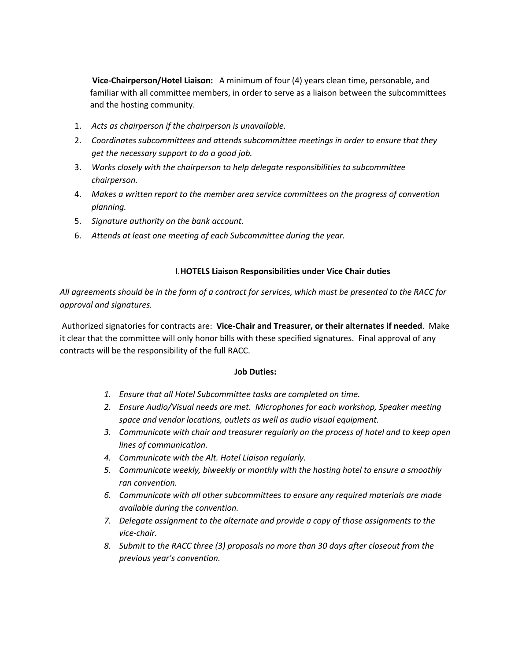**Vice-Chairperson/Hotel Liaison:** A minimum of four (4) years clean time, personable, and familiar with all committee members, in order to serve as a liaison between the subcommittees and the hosting community.

- 1. *Acts as chairperson if the chairperson is unavailable.*
- 2. *Coordinates subcommittees and attends subcommittee meetings in order to ensure that they get the necessary support to do a good job.*
- 3. *Works closely with the chairperson to help delegate responsibilities to subcommittee chairperson.*
- 4. *Makes a written report to the member area service committees on the progress of convention planning.*
- 5. *Signature authority on the bank account.*
- 6. *Attends at least one meeting of each Subcommittee during the year.*

### I.**HOTELS Liaison Responsibilities under Vice Chair duties**

*All agreements should be in the form of a contract for services, which must be presented to the RACC for approval and signatures.* 

Authorized signatories for contracts are: **Vice-Chair and Treasurer, or their alternates if needed**. Make it clear that the committee will only honor bills with these specified signatures. Final approval of any contracts will be the responsibility of the full RACC.

#### **Job Duties:**

- *1. Ensure that all Hotel Subcommittee tasks are completed on time.*
- *2. Ensure Audio/Visual needs are met. Microphones for each workshop, Speaker meeting space and vendor locations, outlets as well as audio visual equipment.*
- *3. Communicate with chair and treasurer regularly on the process of hotel and to keep open lines of communication.*
- *4. Communicate with the Alt. Hotel Liaison regularly.*
- *5. Communicate weekly, biweekly or monthly with the hosting hotel to ensure a smoothly ran convention.*
- *6. Communicate with all other subcommittees to ensure any required materials are made available during the convention.*
- *7. Delegate assignment to the alternate and provide a copy of those assignments to the vice-chair.*
- *8. Submit to the RACC three (3) proposals no more than 30 days after closeout from the previous year's convention.*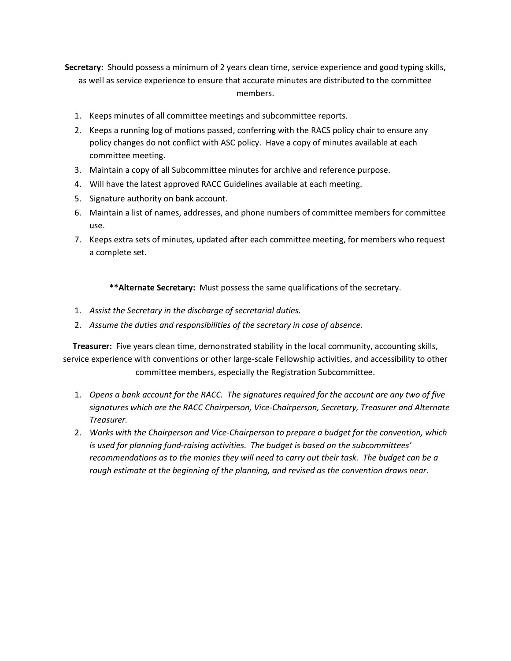**Secretary:** Should possess a minimum of 2 years clean time, service experience and good typing skills, as well as service experience to ensure that accurate minutes are distributed to the committee members.

- 1. Keeps minutes of all committee meetings and subcommittee reports.
- 2. Keeps a running log of motions passed, conferring with the RACS policy chair to ensure any policy changes do not conflict with ASC policy. Have a copy of minutes available at each committee meeting.
- 3. Maintain a copy of all Subcommittee minutes for archive and reference purpose.
- 4. Will have the latest approved RACC Guidelines available at each meeting.
- 5. Signature authority on bank account.
- 6. Maintain a list of names, addresses, and phone numbers of committee members for committee use.
- 7. Keeps extra sets of minutes, updated after each committee meeting, for members who request a complete set.

**\*\*Alternate Secretary:** Must possess the same qualifications of the secretary.

- 1. *Assist the Secretary in the discharge of secretarial duties.*
- 2. *Assume the duties and responsibilities of the secretary in case of absence.*

**Treasurer:** Five years clean time, demonstrated stability in the local community, accounting skills, service experience with conventions or other large-scale Fellowship activities, and accessibility to other committee members, especially the Registration Subcommittee.

- 1. *Opens a bank account for the RACC. The signatures required for the account are any two of five signatures which are the RACC Chairperson, Vice-Chairperson, Secretary, Treasurer and Alternate Treasurer.*
- 2. *Works with the Chairperson and Vice-Chairperson to prepare a budget for the convention, which is used for planning fund-raising activities. The budget is based on the subcommittees' recommendations as to the monies they will need to carry out their task. The budget can be a rough estimate at the beginning of the planning, and revised as the convention draws near*.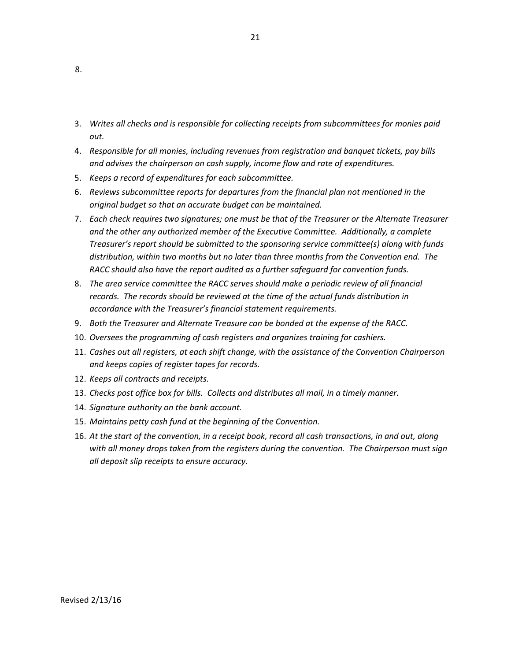3. *Writes all checks and is responsible for collecting receipts from subcommittees for monies paid out.* 

21

- 4. *Responsible for all monies, including revenues from registration and banquet tickets, pay bills and advises the chairperson on cash supply, income flow and rate of expenditures.*
- 5. *Keeps a record of expenditures for each subcommittee.*
- 6. *Reviews subcommittee reports for departures from the financial plan not mentioned in the original budget so that an accurate budget can be maintained.*
- 7. *Each check requires two signatures; one must be that of the Treasurer or the Alternate Treasurer and the other any authorized member of the Executive Committee. Additionally, a complete Treasurer's report should be submitted to the sponsoring service committee(s) along with funds distribution, within two months but no later than three months from the Convention end. The RACC should also have the report audited as a further safeguard for convention funds.*
- 8. *The area service committee the RACC serves should make a periodic review of all financial records. The records should be reviewed at the time of the actual funds distribution in accordance with the Treasurer's financial statement requirements.*
- 9. *Both the Treasurer and Alternate Treasure can be bonded at the expense of the RACC.*
- 10. *Oversees the programming of cash registers and organizes training for cashiers.*
- 11. *Cashes out all registers, at each shift change, with the assistance of the Convention Chairperson and keeps copies of register tapes for records.*
- 12. *Keeps all contracts and receipts.*
- 13. *Checks post office box for bills. Collects and distributes all mail, in a timely manner.*
- 14. *Signature authority on the bank account.*
- 15. *Maintains petty cash fund at the beginning of the Convention.*
- 16. *At the start of the convention, in a receipt book, record all cash transactions, in and out, along with all money drops taken from the registers during the convention. The Chairperson must sign all deposit slip receipts to ensure accuracy.*

8.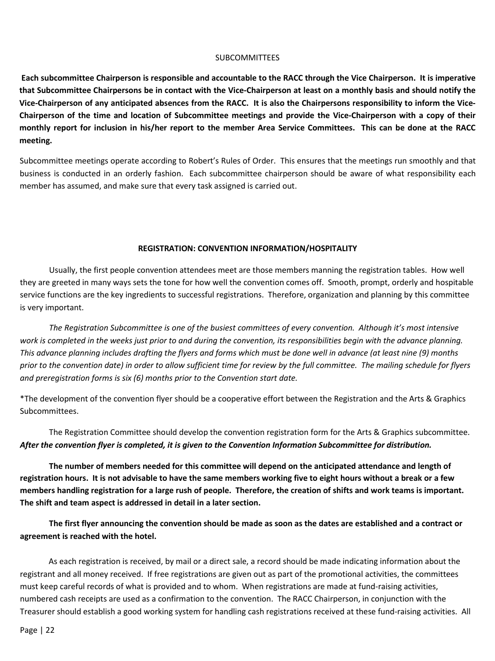#### **SUBCOMMITTEES**

**Each subcommittee Chairperson is responsible and accountable to the RACC through the Vice Chairperson. It is imperative that Subcommittee Chairpersons be in contact with the Vice-Chairperson at least on a monthly basis and should notify the Vice-Chairperson of any anticipated absences from the RACC. It is also the Chairpersons responsibility to inform the Vice-Chairperson of the time and location of Subcommittee meetings and provide the Vice-Chairperson with a copy of their monthly report for inclusion in his/her report to the member Area Service Committees. This can be done at the RACC meeting.** 

Subcommittee meetings operate according to Robert's Rules of Order. This ensures that the meetings run smoothly and that business is conducted in an orderly fashion. Each subcommittee chairperson should be aware of what responsibility each member has assumed, and make sure that every task assigned is carried out.

#### **REGISTRATION: CONVENTION INFORMATION/HOSPITALITY**

Usually, the first people convention attendees meet are those members manning the registration tables. How well they are greeted in many ways sets the tone for how well the convention comes off. Smooth, prompt, orderly and hospitable service functions are the key ingredients to successful registrations. Therefore, organization and planning by this committee is very important.

*The Registration Subcommittee is one of the busiest committees of every convention. Although it's most intensive work is completed in the weeks just prior to and during the convention, its responsibilities begin with the advance planning. This advance planning includes drafting the flyers and forms which must be done well in advance (at least nine (9) months prior to the convention date) in order to allow sufficient time for review by the full committee. The mailing schedule for flyers and preregistration forms is six (6) months prior to the Convention start date.* 

\*The development of the convention flyer should be a cooperative effort between the Registration and the Arts & Graphics Subcommittees.

The Registration Committee should develop the convention registration form for the Arts & Graphics subcommittee. *After the convention flyer is completed, it is given to the Convention Information Subcommittee for distribution.*

**The number of members needed for this committee will depend on the anticipated attendance and length of registration hours. It is not advisable to have the same members working five to eight hours without a break or a few members handling registration for a large rush of people. Therefore, the creation of shifts and work teams is important. The shift and team aspect is addressed in detail in a later section.** 

**The first flyer announcing the convention should be made as soon as the dates are established and a contract or agreement is reached with the hotel.** 

As each registration is received, by mail or a direct sale, a record should be made indicating information about the registrant and all money received. If free registrations are given out as part of the promotional activities, the committees must keep careful records of what is provided and to whom. When registrations are made at fund-raising activities, numbered cash receipts are used as a confirmation to the convention. The RACC Chairperson, in conjunction with the Treasurer should establish a good working system for handling cash registrations received at these fund-raising activities. All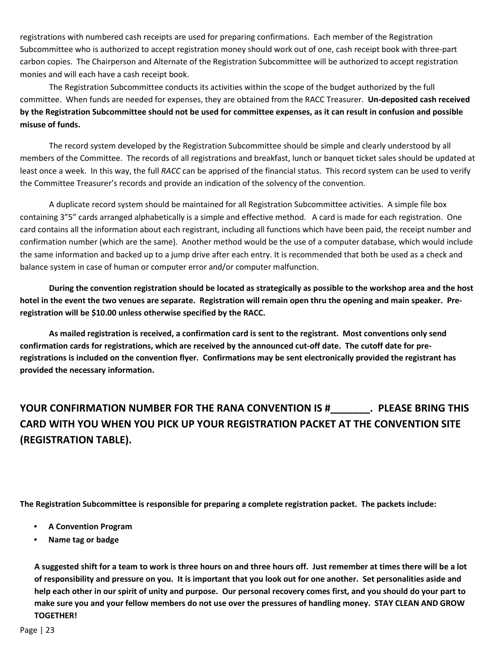registrations with numbered cash receipts are used for preparing confirmations. Each member of the Registration Subcommittee who is authorized to accept registration money should work out of one, cash receipt book with three-part carbon copies. The Chairperson and Alternate of the Registration Subcommittee will be authorized to accept registration monies and will each have a cash receipt book.

The Registration Subcommittee conducts its activities within the scope of the budget authorized by the full committee. When funds are needed for expenses, they are obtained from the RACC Treasurer. **Un-deposited cash received by the Registration Subcommittee should not be used for committee expenses, as it can result in confusion and possible misuse of funds.** 

The record system developed by the Registration Subcommittee should be simple and clearly understood by all members of the Committee. The records of all registrations and breakfast, lunch or banquet ticket sales should be updated at least once a week. In this way, the full *RACC* can be apprised of the financial status. This record system can be used to verify the Committee Treasurer's records and provide an indication of the solvency of the convention.

A duplicate record system should be maintained for all Registration Subcommittee activities. A simple file box containing 3"5" cards arranged alphabetically is a simple and effective method. A card is made for each registration. One card contains all the information about each registrant, including all functions which have been paid, the receipt number and confirmation number (which are the same). Another method would be the use of a computer database, which would include the same information and backed up to a jump drive after each entry. It is recommended that both be used as a check and balance system in case of human or computer error and/or computer malfunction.

**During the convention registration should be located as strategically as possible to the workshop area and the host hotel in the event the two venues are separate. Registration will remain open thru the opening and main speaker. Preregistration will be \$10.00 unless otherwise specified by the RACC.** 

**As mailed registration is received, a confirmation card is sent to the registrant. Most conventions only send confirmation cards for registrations, which are received by the announced cut-off date. The cutoff date for preregistrations is included on the convention flyer. Confirmations may be sent electronically provided the registrant has provided the necessary information.** 

# **YOUR CONFIRMATION NUMBER FOR THE RANA CONVENTION IS #\_\_\_\_\_\_\_. PLEASE BRING THIS CARD WITH YOU WHEN YOU PICK UP YOUR REGISTRATION PACKET AT THE CONVENTION SITE (REGISTRATION TABLE).**

**The Registration Subcommittee is responsible for preparing a complete registration packet. The packets include:** 

- **A Convention Program**
- **Name tag or badge**

**A suggested shift for a team to work is three hours on and three hours off. Just remember at times there will be a lot of responsibility and pressure on you. It is important that you look out for one another. Set personalities aside and help each other in our spirit of unity and purpose. Our personal recovery comes first, and you should do your part to make sure you and your fellow members do not use over the pressures of handling money. STAY CLEAN AND GROW TOGETHER!**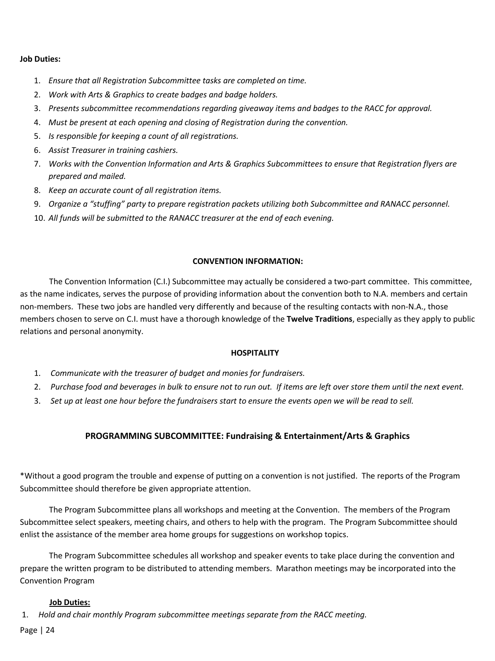#### **Job Duties:**

- 1. *Ensure that all Registration Subcommittee tasks are completed on time.*
- 2. *Work with Arts & Graphics to create badges and badge holders.*
- 3. *Presents subcommittee recommendations regarding giveaway items and badges to the RACC for approval.*
- 4. *Must be present at each opening and closing of Registration during the convention.*
- 5. *Is responsible for keeping a count of all registrations.*
- 6. *Assist Treasurer in training cashiers.*
- 7. *Works with the Convention Information and Arts & Graphics Subcommittees to ensure that Registration flyers are prepared and mailed.*
- 8. *Keep an accurate count of all registration items.*
- 9. *Organize a "stuffing" party to prepare registration packets utilizing both Subcommittee and RANACC personnel.*
- 10. *All funds will be submitted to the RANACC treasurer at the end of each evening.*

#### **CONVENTION INFORMATION:**

The Convention Information (C.I.) Subcommittee may actually be considered a two-part committee. This committee, as the name indicates, serves the purpose of providing information about the convention both to N.A. members and certain non-members. These two jobs are handled very differently and because of the resulting contacts with non-N.A., those members chosen to serve on C.I. must have a thorough knowledge of the **Twelve Traditions**, especially as they apply to public relations and personal anonymity.

#### **HOSPITALITY**

- 1. *Communicate with the treasurer of budget and monies for fundraisers.*
- 2. *Purchase food and beverages in bulk to ensure not to run out. If items are left over store them until the next event.*
- 3. *Set up at least one hour before the fundraisers start to ensure the events open we will be read to sell.*

### **PROGRAMMING SUBCOMMITTEE: Fundraising & Entertainment/Arts & Graphics**

\*Without a good program the trouble and expense of putting on a convention is not justified. The reports of the Program Subcommittee should therefore be given appropriate attention.

The Program Subcommittee plans all workshops and meeting at the Convention. The members of the Program Subcommittee select speakers, meeting chairs, and others to help with the program. The Program Subcommittee should enlist the assistance of the member area home groups for suggestions on workshop topics.

The Program Subcommittee schedules all workshop and speaker events to take place during the convention and prepare the written program to be distributed to attending members. Marathon meetings may be incorporated into the Convention Program

#### **Job Duties:**

1. *Hold and chair monthly Program subcommittee meetings separate from the RACC meeting.*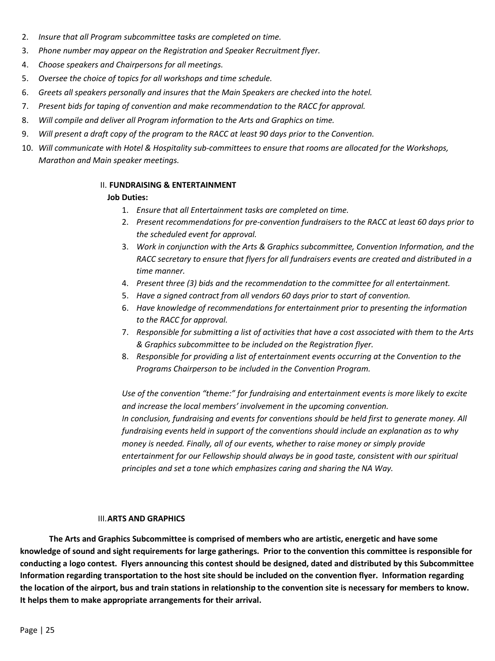- 2. *Insure that all Program subcommittee tasks are completed on time.*
- 3. *Phone number may appear on the Registration and Speaker Recruitment flyer.*
- 4. *Choose speakers and Chairpersons for all meetings.*
- 5. *Oversee the choice of topics for all workshops and time schedule.*
- 6. *Greets all speakers personally and insures that the Main Speakers are checked into the hotel.*
- 7. *Present bids for taping of convention and make recommendation to the RACC for approval.*
- 8. *Will compile and deliver all Program information to the Arts and Graphics on time.*
- 9. *Will present a draft copy of the program to the RACC at least 90 days prior to the Convention.*
- 10. *Will communicate with Hotel & Hospitality sub-committees to ensure that rooms are allocated for the Workshops, Marathon and Main speaker meetings.*

### II. **FUNDRAISING & ENTERTAINMENT**

#### **Job Duties:**

- 1. *Ensure that all Entertainment tasks are completed on time.*
- 2. *Present recommendations for pre-convention fundraisers to the RACC at least 60 days prior to the scheduled event for approval.*
- 3. *Work in conjunction with the Arts & Graphics subcommittee, Convention Information, and the RACC secretary to ensure that flyers for all fundraisers events are created and distributed in a time manner.*
- 4. *Present three (3) bids and the recommendation to the committee for all entertainment.*
- 5. *Have a signed contract from all vendors 60 days prior to start of convention.*
- 6. *Have knowledge of recommendations for entertainment prior to presenting the information to the RACC for approval.*
- 7. *Responsible for submitting a list of activities that have a cost associated with them to the Arts & Graphics subcommittee to be included on the Registration flyer.*
- 8. *Responsible for providing a list of entertainment events occurring at the Convention to the Programs Chairperson to be included in the Convention Program.*

*Use of the convention "theme:" for fundraising and entertainment events is more likely to excite and increase the local members' involvement in the upcoming convention. In conclusion, fundraising and events for conventions should be held first to generate money. All fundraising events held in support of the conventions should include an explanation as to why money is needed. Finally, all of our events, whether to raise money or simply provide entertainment for our Fellowship should always be in good taste, consistent with our spiritual principles and set a tone which emphasizes caring and sharing the NA Way.*

#### III.**ARTS AND GRAPHICS**

**The Arts and Graphics Subcommittee is comprised of members who are artistic, energetic and have some knowledge of sound and sight requirements for large gatherings. Prior to the convention this committee is responsible for conducting a logo contest. Flyers announcing this contest should be designed, dated and distributed by this Subcommittee Information regarding transportation to the host site should be included on the convention flyer. Information regarding the location of the airport, bus and train stations in relationship to the convention site is necessary for members to know. It helps them to make appropriate arrangements for their arrival.**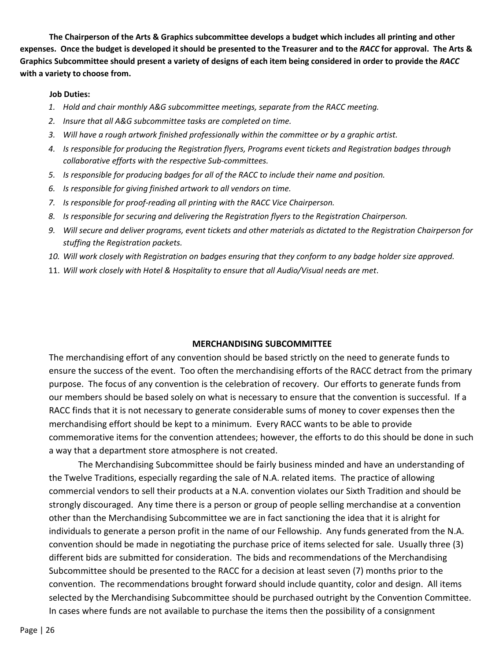**The Chairperson of the Arts & Graphics subcommittee develops a budget which includes all printing and other expenses. Once the budget is developed it should be presented to the Treasurer and to the** *RACC* **for approval. The Arts & Graphics Subcommittee should present a variety of designs of each item being considered in order to provide the** *RACC* **with a variety to choose from.** 

#### **Job Duties:**

- *1. Hold and chair monthly A&G subcommittee meetings, separate from the RACC meeting.*
- *2. Insure that all A&G subcommittee tasks are completed on time.*
- *3. Will have a rough artwork finished professionally within the committee or by a graphic artist.*
- *4. Is responsible for producing the Registration flyers, Programs event tickets and Registration badges through collaborative efforts with the respective Sub-committees.*
- *5. Is responsible for producing badges for all of the RACC to include their name and position.*
- *6. Is responsible for giving finished artwork to all vendors on time.*
- *7. Is responsible for proof-reading all printing with the RACC Vice Chairperson.*
- *8. Is responsible for securing and delivering the Registration flyers to the Registration Chairperson.*
- *9. Will secure and deliver programs, event tickets and other materials as dictated to the Registration Chairperson for stuffing the Registration packets.*
- *10. Will work closely with Registration on badges ensuring that they conform to any badge holder size approved.*
- 11. *Will work closely with Hotel & Hospitality to ensure that all Audio/Visual needs are met*.

#### **MERCHANDISING SUBCOMMITTEE**

The merchandising effort of any convention should be based strictly on the need to generate funds to ensure the success of the event. Too often the merchandising efforts of the RACC detract from the primary purpose. The focus of any convention is the celebration of recovery. Our efforts to generate funds from our members should be based solely on what is necessary to ensure that the convention is successful. If a RACC finds that it is not necessary to generate considerable sums of money to cover expenses then the merchandising effort should be kept to a minimum. Every RACC wants to be able to provide commemorative items for the convention attendees; however, the efforts to do this should be done in such a way that a department store atmosphere is not created.

The Merchandising Subcommittee should be fairly business minded and have an understanding of the Twelve Traditions, especially regarding the sale of N.A. related items. The practice of allowing commercial vendors to sell their products at a N.A. convention violates our Sixth Tradition and should be strongly discouraged. Any time there is a person or group of people selling merchandise at a convention other than the Merchandising Subcommittee we are in fact sanctioning the idea that it is alright for individuals to generate a person profit in the name of our Fellowship. Any funds generated from the N.A. convention should be made in negotiating the purchase price of items selected for sale. Usually three (3) different bids are submitted for consideration. The bids and recommendations of the Merchandising Subcommittee should be presented to the RACC for a decision at least seven (7) months prior to the convention. The recommendations brought forward should include quantity, color and design. All items selected by the Merchandising Subcommittee should be purchased outright by the Convention Committee. In cases where funds are not available to purchase the items then the possibility of a consignment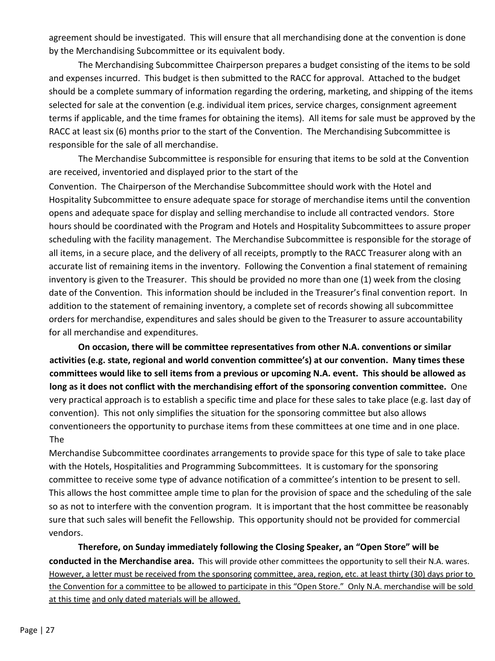agreement should be investigated. This will ensure that all merchandising done at the convention is done by the Merchandising Subcommittee or its equivalent body.

The Merchandising Subcommittee Chairperson prepares a budget consisting of the items to be sold and expenses incurred. This budget is then submitted to the RACC for approval. Attached to the budget should be a complete summary of information regarding the ordering, marketing, and shipping of the items selected for sale at the convention (e.g. individual item prices, service charges, consignment agreement terms if applicable, and the time frames for obtaining the items). All items for sale must be approved by the RACC at least six (6) months prior to the start of the Convention. The Merchandising Subcommittee is responsible for the sale of all merchandise.

The Merchandise Subcommittee is responsible for ensuring that items to be sold at the Convention are received, inventoried and displayed prior to the start of the

Convention. The Chairperson of the Merchandise Subcommittee should work with the Hotel and Hospitality Subcommittee to ensure adequate space for storage of merchandise items until the convention opens and adequate space for display and selling merchandise to include all contracted vendors. Store hours should be coordinated with the Program and Hotels and Hospitality Subcommittees to assure proper scheduling with the facility management. The Merchandise Subcommittee is responsible for the storage of all items, in a secure place, and the delivery of all receipts, promptly to the RACC Treasurer along with an accurate list of remaining items in the inventory. Following the Convention a final statement of remaining inventory is given to the Treasurer. This should be provided no more than one (1) week from the closing date of the Convention. This information should be included in the Treasurer's final convention report. In addition to the statement of remaining inventory, a complete set of records showing all subcommittee orders for merchandise, expenditures and sales should be given to the Treasurer to assure accountability for all merchandise and expenditures.

**On occasion, there will be committee representatives from other N.A. conventions or similar activities (e.g. state, regional and world convention committee's) at our convention. Many times these committees would like to sell items from a previous or upcoming N.A. event. This should be allowed as long as it does not conflict with the merchandising effort of the sponsoring convention committee.** One very practical approach is to establish a specific time and place for these sales to take place (e.g. last day of convention). This not only simplifies the situation for the sponsoring committee but also allows conventioneers the opportunity to purchase items from these committees at one time and in one place. The

Merchandise Subcommittee coordinates arrangements to provide space for this type of sale to take place with the Hotels, Hospitalities and Programming Subcommittees. It is customary for the sponsoring committee to receive some type of advance notification of a committee's intention to be present to sell. This allows the host committee ample time to plan for the provision of space and the scheduling of the sale so as not to interfere with the convention program. It is important that the host committee be reasonably sure that such sales will benefit the Fellowship. This opportunity should not be provided for commercial vendors.

**Therefore, on Sunday immediately following the Closing Speaker, an "Open Store" will be conducted in the Merchandise area.** This will provide other committees the opportunity to sell their N.A. wares. However, a letter must be received from the sponsoring committee, area, region, etc. at least thirty (30) days prior to the Convention for a committee to be allowed to participate in this "Open Store." Only N.A. merchandise will be sold at this time and only dated materials will be allowed.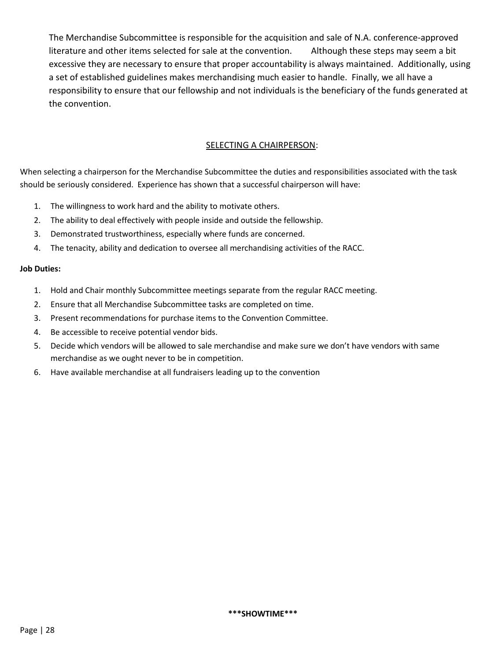The Merchandise Subcommittee is responsible for the acquisition and sale of N.A. conference-approved literature and other items selected for sale at the convention. Although these steps may seem a bit excessive they are necessary to ensure that proper accountability is always maintained. Additionally, using a set of established guidelines makes merchandising much easier to handle. Finally, we all have a responsibility to ensure that our fellowship and not individuals is the beneficiary of the funds generated at the convention.

## SELECTING A CHAIRPERSON:

When selecting a chairperson for the Merchandise Subcommittee the duties and responsibilities associated with the task should be seriously considered. Experience has shown that a successful chairperson will have:

- 1. The willingness to work hard and the ability to motivate others.
- 2. The ability to deal effectively with people inside and outside the fellowship.
- 3. Demonstrated trustworthiness, especially where funds are concerned.
- 4. The tenacity, ability and dedication to oversee all merchandising activities of the RACC.

#### **Job Duties:**

- 1. Hold and Chair monthly Subcommittee meetings separate from the regular RACC meeting.
- 2. Ensure that all Merchandise Subcommittee tasks are completed on time.
- 3. Present recommendations for purchase items to the Convention Committee.
- 4. Be accessible to receive potential vendor bids.
- 5. Decide which vendors will be allowed to sale merchandise and make sure we don't have vendors with same merchandise as we ought never to be in competition.
- 6. Have available merchandise at all fundraisers leading up to the convention